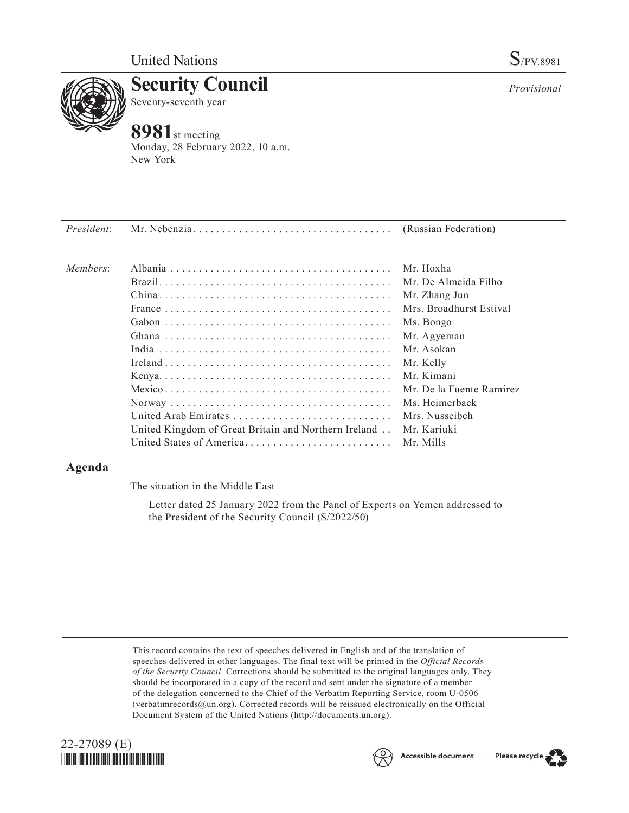

**Security Council** Seventy-seventh year

# **8981**st meeting

Monday, 28 February 2022, 10 a.m. New York

| President: |                                                      |                          |
|------------|------------------------------------------------------|--------------------------|
| Members:   |                                                      | Mr. Hoxha                |
|            |                                                      | Mr. De Almeida Filho     |
|            |                                                      | Mr. Zhang Jun            |
|            |                                                      | Mrs. Broadhurst Estival  |
|            |                                                      | Ms. Bongo                |
|            |                                                      | Mr. Agyeman              |
|            |                                                      | Mr. Asokan               |
|            |                                                      | Mr. Kelly                |
|            |                                                      | Mr. Kimani               |
|            |                                                      | Mr. De la Fuente Ramírez |
|            |                                                      | Ms. Heimerback           |
|            | United Arab Emirates                                 | Mrs. Nusseibeh           |
|            | United Kingdom of Great Britain and Northern Ireland | Mr. Kariuki              |
|            | United States of America                             | Mr. Mills                |

# **Agenda**

The situation in the Middle East

Letter dated 25 January 2022 from the Panel of Experts on Yemen addressed to the President of the Security Council (S/2022/50)

This record contains the text of speeches delivered in English and of the translation of speeches delivered in other languages. The final text will be printed in the *Official Records of the Security Council.* Corrections should be submitted to the original languages only. They should be incorporated in a copy of the record and sent under the signature of a member of the delegation concerned to the Chief of the Verbatim Reporting Service, room U-0506 (verbatimrecords@un.org). Corrected records will be reissued electronically on the Official Document System of the United Nations (http://documents.un.org).







*Provisional*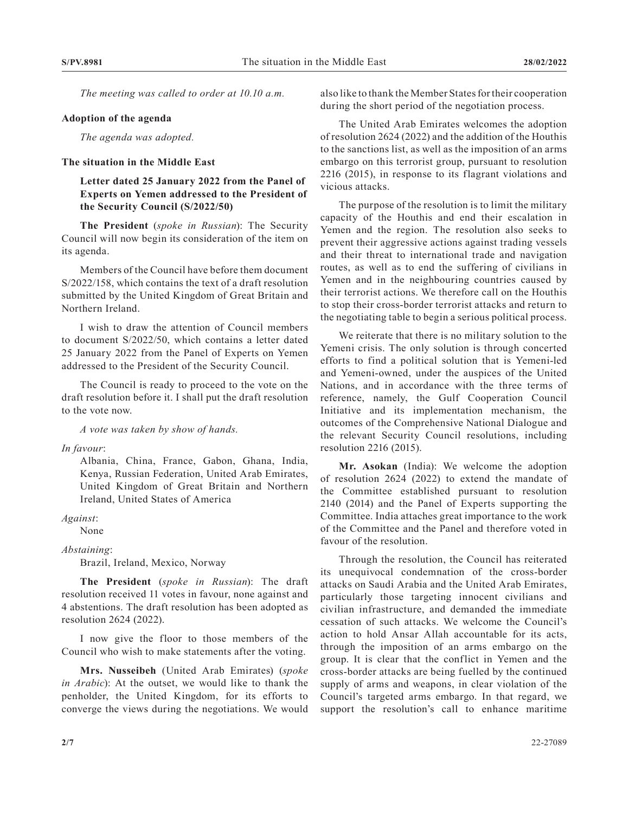*The meeting was called to order at 10.10 a.m.*

#### **Adoption of the agenda**

*The agenda was adopted.*

### **The situation in the Middle East**

## **Letter dated 25 January 2022 from the Panel of Experts on Yemen addressed to the President of the Security Council (S/2022/50)**

**The President** (*spoke in Russian*): The Security Council will now begin its consideration of the item on its agenda.

Members of the Council have before them document S/2022/158, which contains the text of a draft resolution submitted by the United Kingdom of Great Britain and Northern Ireland.

I wish to draw the attention of Council members to document S/2022/50, which contains a letter dated 25 January 2022 from the Panel of Experts on Yemen addressed to the President of the Security Council.

The Council is ready to proceed to the vote on the draft resolution before it. I shall put the draft resolution to the vote now.

*A vote was taken by show of hands.*

*In favour*:

Albania, China, France, Gabon, Ghana, India, Kenya, Russian Federation, United Arab Emirates, United Kingdom of Great Britain and Northern Ireland, United States of America

*Against*:

None

*Abstaining*:

Brazil, Ireland, Mexico, Norway

**The President** (*spoke in Russian*): The draft resolution received 11 votes in favour, none against and 4 abstentions. The draft resolution has been adopted as resolution 2624 (2022).

I now give the floor to those members of the Council who wish to make statements after the voting.

**Mrs. Nusseibeh** (United Arab Emirates) (*spoke in Arabic*): At the outset, we would like to thank the penholder, the United Kingdom, for its efforts to converge the views during the negotiations. We would

also like to thank the Member States for their cooperation during the short period of the negotiation process.

The United Arab Emirates welcomes the adoption of resolution 2624 (2022) and the addition of the Houthis to the sanctions list, as well as the imposition of an arms embargo on this terrorist group, pursuant to resolution 2216 (2015), in response to its flagrant violations and vicious attacks.

The purpose of the resolution is to limit the military capacity of the Houthis and end their escalation in Yemen and the region. The resolution also seeks to prevent their aggressive actions against trading vessels and their threat to international trade and navigation routes, as well as to end the suffering of civilians in Yemen and in the neighbouring countries caused by their terrorist actions. We therefore call on the Houthis to stop their cross-border terrorist attacks and return to the negotiating table to begin a serious political process.

We reiterate that there is no military solution to the Yemeni crisis. The only solution is through concerted efforts to find a political solution that is Yemeni-led and Yemeni-owned, under the auspices of the United Nations, and in accordance with the three terms of reference, namely, the Gulf Cooperation Council Initiative and its implementation mechanism, the outcomes of the Comprehensive National Dialogue and the relevant Security Council resolutions, including resolution 2216 (2015).

**Mr. Asokan** (India): We welcome the adoption of resolution 2624 (2022) to extend the mandate of the Committee established pursuant to resolution 2140 (2014) and the Panel of Experts supporting the Committee. India attaches great importance to the work of the Committee and the Panel and therefore voted in favour of the resolution.

Through the resolution, the Council has reiterated its unequivocal condemnation of the cross-border attacks on Saudi Arabia and the United Arab Emirates, particularly those targeting innocent civilians and civilian infrastructure, and demanded the immediate cessation of such attacks. We welcome the Council's action to hold Ansar Allah accountable for its acts, through the imposition of an arms embargo on the group. It is clear that the conflict in Yemen and the cross-border attacks are being fuelled by the continued supply of arms and weapons, in clear violation of the Council's targeted arms embargo. In that regard, we support the resolution's call to enhance maritime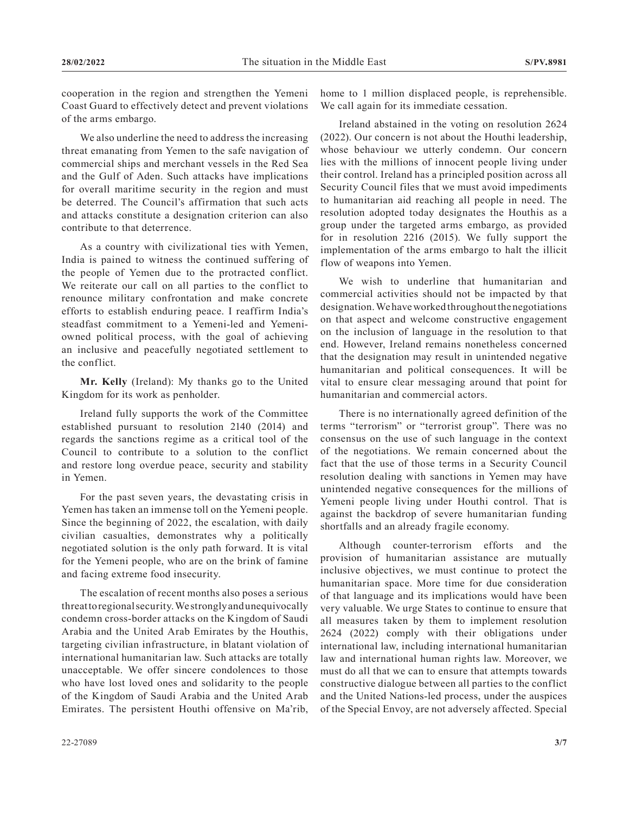cooperation in the region and strengthen the Yemeni Coast Guard to effectively detect and prevent violations of the arms embargo.

We also underline the need to address the increasing threat emanating from Yemen to the safe navigation of commercial ships and merchant vessels in the Red Sea and the Gulf of Aden. Such attacks have implications for overall maritime security in the region and must be deterred. The Council's affirmation that such acts and attacks constitute a designation criterion can also contribute to that deterrence.

As a country with civilizational ties with Yemen, India is pained to witness the continued suffering of the people of Yemen due to the protracted conflict. We reiterate our call on all parties to the conflict to renounce military confrontation and make concrete efforts to establish enduring peace. I reaffirm India's steadfast commitment to a Yemeni-led and Yemeniowned political process, with the goal of achieving an inclusive and peacefully negotiated settlement to the conflict.

**Mr. Kelly** (Ireland): My thanks go to the United Kingdom for its work as penholder.

Ireland fully supports the work of the Committee established pursuant to resolution 2140 (2014) and regards the sanctions regime as a critical tool of the Council to contribute to a solution to the conflict and restore long overdue peace, security and stability in Yemen.

For the past seven years, the devastating crisis in Yemen has taken an immense toll on the Yemeni people. Since the beginning of 2022, the escalation, with daily civilian casualties, demonstrates why a politically negotiated solution is the only path forward. It is vital for the Yemeni people, who are on the brink of famine and facing extreme food insecurity.

The escalation of recent months also poses a serious threat to regional security. We strongly and unequivocally condemn cross-border attacks on the Kingdom of Saudi Arabia and the United Arab Emirates by the Houthis, targeting civilian infrastructure, in blatant violation of international humanitarian law. Such attacks are totally unacceptable. We offer sincere condolences to those who have lost loved ones and solidarity to the people of the Kingdom of Saudi Arabia and the United Arab Emirates. The persistent Houthi offensive on Ma'rib,

home to 1 million displaced people, is reprehensible. We call again for its immediate cessation.

Ireland abstained in the voting on resolution 2624 (2022). Our concern is not about the Houthi leadership, whose behaviour we utterly condemn. Our concern lies with the millions of innocent people living under their control. Ireland has a principled position across all Security Council files that we must avoid impediments to humanitarian aid reaching all people in need. The resolution adopted today designates the Houthis as a group under the targeted arms embargo, as provided for in resolution 2216 (2015). We fully support the implementation of the arms embargo to halt the illicit flow of weapons into Yemen.

We wish to underline that humanitarian and commercial activities should not be impacted by that designation. We have worked throughout the negotiations on that aspect and welcome constructive engagement on the inclusion of language in the resolution to that end. However, Ireland remains nonetheless concerned that the designation may result in unintended negative humanitarian and political consequences. It will be vital to ensure clear messaging around that point for humanitarian and commercial actors.

There is no internationally agreed definition of the terms "terrorism" or "terrorist group". There was no consensus on the use of such language in the context of the negotiations. We remain concerned about the fact that the use of those terms in a Security Council resolution dealing with sanctions in Yemen may have unintended negative consequences for the millions of Yemeni people living under Houthi control. That is against the backdrop of severe humanitarian funding shortfalls and an already fragile economy.

Although counter-terrorism efforts and the provision of humanitarian assistance are mutually inclusive objectives, we must continue to protect the humanitarian space. More time for due consideration of that language and its implications would have been very valuable. We urge States to continue to ensure that all measures taken by them to implement resolution 2624 (2022) comply with their obligations under international law, including international humanitarian law and international human rights law. Moreover, we must do all that we can to ensure that attempts towards constructive dialogue between all parties to the conflict and the United Nations-led process, under the auspices of the Special Envoy, are not adversely affected. Special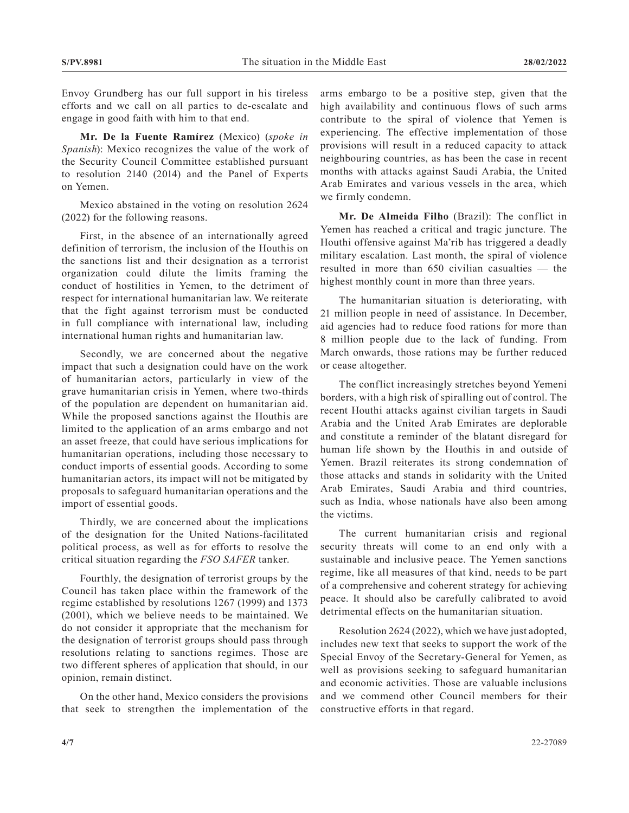Envoy Grundberg has our full support in his tireless efforts and we call on all parties to de-escalate and engage in good faith with him to that end.

**Mr. De la Fuente Ramírez** (Mexico) (*spoke in Spanish*): Mexico recognizes the value of the work of the Security Council Committee established pursuant to resolution 2140 (2014) and the Panel of Experts on Yemen.

Mexico abstained in the voting on resolution 2624 (2022) for the following reasons.

First, in the absence of an internationally agreed definition of terrorism, the inclusion of the Houthis on the sanctions list and their designation as a terrorist organization could dilute the limits framing the conduct of hostilities in Yemen, to the detriment of respect for international humanitarian law. We reiterate that the fight against terrorism must be conducted in full compliance with international law, including international human rights and humanitarian law.

Secondly, we are concerned about the negative impact that such a designation could have on the work of humanitarian actors, particularly in view of the grave humanitarian crisis in Yemen, where two-thirds of the population are dependent on humanitarian aid. While the proposed sanctions against the Houthis are limited to the application of an arms embargo and not an asset freeze, that could have serious implications for humanitarian operations, including those necessary to conduct imports of essential goods. According to some humanitarian actors, its impact will not be mitigated by proposals to safeguard humanitarian operations and the import of essential goods.

Thirdly, we are concerned about the implications of the designation for the United Nations-facilitated political process, as well as for efforts to resolve the critical situation regarding the *FSO SAFER* tanker.

Fourthly, the designation of terrorist groups by the Council has taken place within the framework of the regime established by resolutions 1267 (1999) and 1373 (2001), which we believe needs to be maintained. We do not consider it appropriate that the mechanism for the designation of terrorist groups should pass through resolutions relating to sanctions regimes. Those are two different spheres of application that should, in our opinion, remain distinct.

On the other hand, Mexico considers the provisions that seek to strengthen the implementation of the arms embargo to be a positive step, given that the high availability and continuous flows of such arms contribute to the spiral of violence that Yemen is experiencing. The effective implementation of those provisions will result in a reduced capacity to attack neighbouring countries, as has been the case in recent months with attacks against Saudi Arabia, the United Arab Emirates and various vessels in the area, which we firmly condemn.

**Mr. De Almeida Filho** (Brazil): The conflict in Yemen has reached a critical and tragic juncture. The Houthi offensive against Ma'rib has triggered a deadly military escalation. Last month, the spiral of violence resulted in more than 650 civilian casualties — the highest monthly count in more than three years.

The humanitarian situation is deteriorating, with 21 million people in need of assistance. In December, aid agencies had to reduce food rations for more than 8 million people due to the lack of funding. From March onwards, those rations may be further reduced or cease altogether.

The conflict increasingly stretches beyond Yemeni borders, with a high risk of spiralling out of control. The recent Houthi attacks against civilian targets in Saudi Arabia and the United Arab Emirates are deplorable and constitute a reminder of the blatant disregard for human life shown by the Houthis in and outside of Yemen. Brazil reiterates its strong condemnation of those attacks and stands in solidarity with the United Arab Emirates, Saudi Arabia and third countries, such as India, whose nationals have also been among the victims.

The current humanitarian crisis and regional security threats will come to an end only with a sustainable and inclusive peace. The Yemen sanctions regime, like all measures of that kind, needs to be part of a comprehensive and coherent strategy for achieving peace. It should also be carefully calibrated to avoid detrimental effects on the humanitarian situation.

Resolution 2624 (2022), which we have just adopted, includes new text that seeks to support the work of the Special Envoy of the Secretary-General for Yemen, as well as provisions seeking to safeguard humanitarian and economic activities. Those are valuable inclusions and we commend other Council members for their constructive efforts in that regard.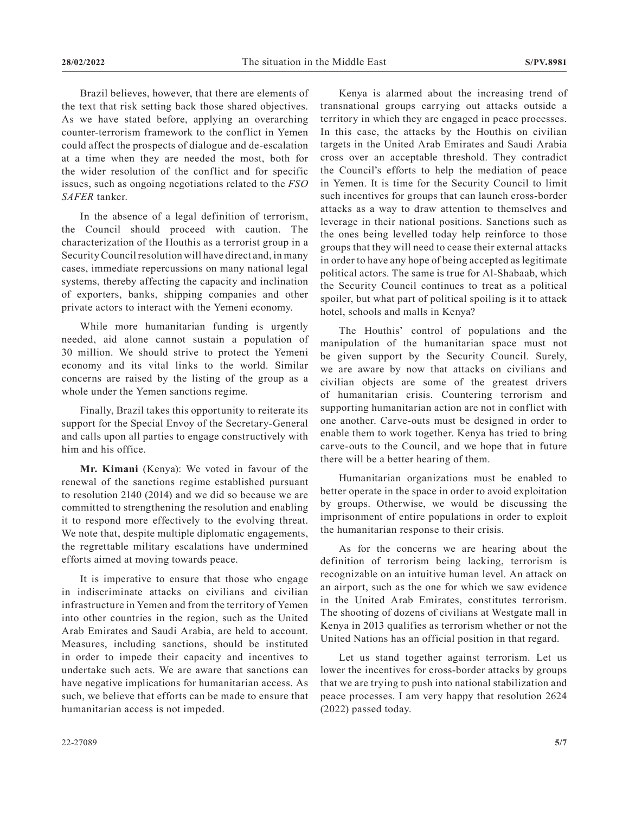Brazil believes, however, that there are elements of the text that risk setting back those shared objectives. As we have stated before, applying an overarching counter-terrorism framework to the conflict in Yemen could affect the prospects of dialogue and de-escalation at a time when they are needed the most, both for the wider resolution of the conflict and for specific issues, such as ongoing negotiations related to the *FSO SAFER* tanker.

In the absence of a legal definition of terrorism, the Council should proceed with caution. The characterization of the Houthis as a terrorist group in a Security Council resolution will have direct and, in many cases, immediate repercussions on many national legal systems, thereby affecting the capacity and inclination of exporters, banks, shipping companies and other private actors to interact with the Yemeni economy.

While more humanitarian funding is urgently needed, aid alone cannot sustain a population of 30 million. We should strive to protect the Yemeni economy and its vital links to the world. Similar concerns are raised by the listing of the group as a whole under the Yemen sanctions regime.

Finally, Brazil takes this opportunity to reiterate its support for the Special Envoy of the Secretary-General and calls upon all parties to engage constructively with him and his office.

**Mr. Kimani** (Kenya): We voted in favour of the renewal of the sanctions regime established pursuant to resolution 2140 (2014) and we did so because we are committed to strengthening the resolution and enabling it to respond more effectively to the evolving threat. We note that, despite multiple diplomatic engagements, the regrettable military escalations have undermined efforts aimed at moving towards peace.

It is imperative to ensure that those who engage in indiscriminate attacks on civilians and civilian infrastructure in Yemen and from the territory of Yemen into other countries in the region, such as the United Arab Emirates and Saudi Arabia, are held to account. Measures, including sanctions, should be instituted in order to impede their capacity and incentives to undertake such acts. We are aware that sanctions can have negative implications for humanitarian access. As such, we believe that efforts can be made to ensure that humanitarian access is not impeded.

Kenya is alarmed about the increasing trend of transnational groups carrying out attacks outside a territory in which they are engaged in peace processes. In this case, the attacks by the Houthis on civilian targets in the United Arab Emirates and Saudi Arabia cross over an acceptable threshold. They contradict the Council's efforts to help the mediation of peace in Yemen. It is time for the Security Council to limit such incentives for groups that can launch cross-border attacks as a way to draw attention to themselves and leverage in their national positions. Sanctions such as the ones being levelled today help reinforce to those groups that they will need to cease their external attacks in order to have any hope of being accepted as legitimate political actors. The same is true for Al-Shabaab, which the Security Council continues to treat as a political spoiler, but what part of political spoiling is it to attack hotel, schools and malls in Kenya?

The Houthis' control of populations and the manipulation of the humanitarian space must not be given support by the Security Council. Surely, we are aware by now that attacks on civilians and civilian objects are some of the greatest drivers of humanitarian crisis. Countering terrorism and supporting humanitarian action are not in conflict with one another. Carve-outs must be designed in order to enable them to work together. Kenya has tried to bring carve-outs to the Council, and we hope that in future there will be a better hearing of them.

Humanitarian organizations must be enabled to better operate in the space in order to avoid exploitation by groups. Otherwise, we would be discussing the imprisonment of entire populations in order to exploit the humanitarian response to their crisis.

As for the concerns we are hearing about the definition of terrorism being lacking, terrorism is recognizable on an intuitive human level. An attack on an airport, such as the one for which we saw evidence in the United Arab Emirates, constitutes terrorism. The shooting of dozens of civilians at Westgate mall in Kenya in 2013 qualifies as terrorism whether or not the United Nations has an official position in that regard.

Let us stand together against terrorism. Let us lower the incentives for cross-border attacks by groups that we are trying to push into national stabilization and peace processes. I am very happy that resolution 2624 (2022) passed today.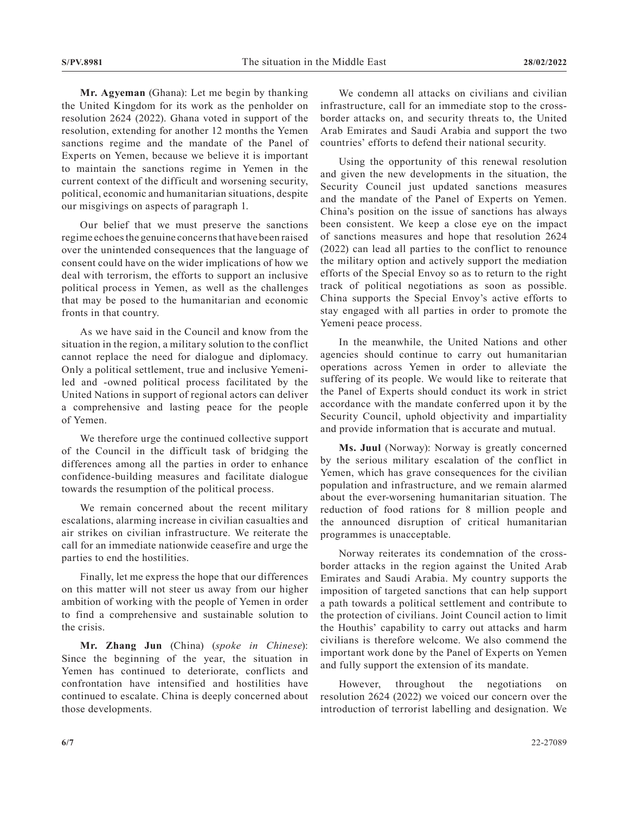**Mr. Agyeman** (Ghana): Let me begin by thanking the United Kingdom for its work as the penholder on resolution 2624 (2022). Ghana voted in support of the resolution, extending for another 12 months the Yemen sanctions regime and the mandate of the Panel of Experts on Yemen, because we believe it is important to maintain the sanctions regime in Yemen in the current context of the difficult and worsening security, political, economic and humanitarian situations, despite our misgivings on aspects of paragraph 1.

Our belief that we must preserve the sanctions regime echoes the genuine concerns that have been raised over the unintended consequences that the language of consent could have on the wider implications of how we deal with terrorism, the efforts to support an inclusive political process in Yemen, as well as the challenges that may be posed to the humanitarian and economic fronts in that country.

As we have said in the Council and know from the situation in the region, a military solution to the conflict cannot replace the need for dialogue and diplomacy. Only a political settlement, true and inclusive Yemeniled and -owned political process facilitated by the United Nations in support of regional actors can deliver a comprehensive and lasting peace for the people of Yemen.

We therefore urge the continued collective support of the Council in the difficult task of bridging the differences among all the parties in order to enhance confidence-building measures and facilitate dialogue towards the resumption of the political process.

We remain concerned about the recent military escalations, alarming increase in civilian casualties and air strikes on civilian infrastructure. We reiterate the call for an immediate nationwide ceasefire and urge the parties to end the hostilities.

Finally, let me express the hope that our differences on this matter will not steer us away from our higher ambition of working with the people of Yemen in order to find a comprehensive and sustainable solution to the crisis.

**Mr. Zhang Jun** (China) (*spoke in Chinese*): Since the beginning of the year, the situation in Yemen has continued to deteriorate, conflicts and confrontation have intensified and hostilities have continued to escalate. China is deeply concerned about those developments.

We condemn all attacks on civilians and civilian infrastructure, call for an immediate stop to the crossborder attacks on, and security threats to, the United Arab Emirates and Saudi Arabia and support the two countries' efforts to defend their national security.

Using the opportunity of this renewal resolution and given the new developments in the situation, the Security Council just updated sanctions measures and the mandate of the Panel of Experts on Yemen. China's position on the issue of sanctions has always been consistent. We keep a close eye on the impact of sanctions measures and hope that resolution 2624 (2022) can lead all parties to the conflict to renounce the military option and actively support the mediation efforts of the Special Envoy so as to return to the right track of political negotiations as soon as possible. China supports the Special Envoy's active efforts to stay engaged with all parties in order to promote the Yemeni peace process.

In the meanwhile, the United Nations and other agencies should continue to carry out humanitarian operations across Yemen in order to alleviate the suffering of its people. We would like to reiterate that the Panel of Experts should conduct its work in strict accordance with the mandate conferred upon it by the Security Council, uphold objectivity and impartiality and provide information that is accurate and mutual.

**Ms. Juul** (Norway): Norway is greatly concerned by the serious military escalation of the conflict in Yemen, which has grave consequences for the civilian population and infrastructure, and we remain alarmed about the ever-worsening humanitarian situation. The reduction of food rations for 8 million people and the announced disruption of critical humanitarian programmes is unacceptable.

Norway reiterates its condemnation of the crossborder attacks in the region against the United Arab Emirates and Saudi Arabia. My country supports the imposition of targeted sanctions that can help support a path towards a political settlement and contribute to the protection of civilians. Joint Council action to limit the Houthis' capability to carry out attacks and harm civilians is therefore welcome. We also commend the important work done by the Panel of Experts on Yemen and fully support the extension of its mandate.

However, throughout the negotiations on resolution 2624 (2022) we voiced our concern over the introduction of terrorist labelling and designation. We